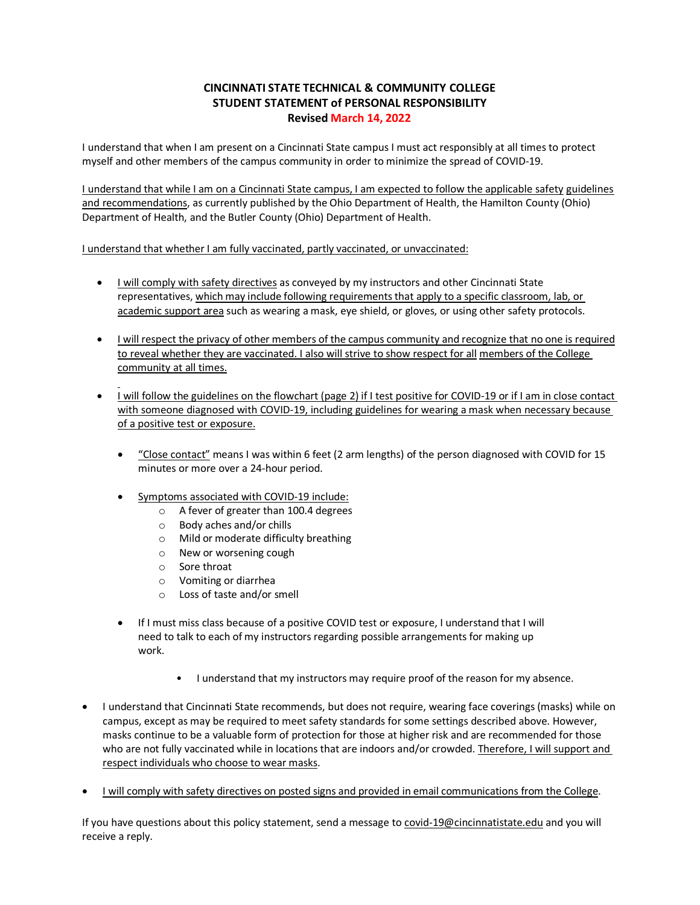#### **CINCINNATI STATE TECHNICAL & COMMUNITY COLLEGE STUDENT STATEMENT of PERSONAL RESPONSIBILITY Revised March 14, 2022**

I understand that when I am present on a Cincinnati State campus I must act responsibly at all times to protect myself and other members of the campus community in order to minimize the spread of COVID-19.

I understand that while I am on a Cincinnati State campus, I am expected to follow the applicable safety guidelines and recommendations, as currently published by the Ohio Department of Health, the Hamilton County (Ohio) Department of Health, and the Butler County (Ohio) Department of Health.

I understand that whether I am fully vaccinated, partly vaccinated, or unvaccinated:

- I will comply with safety directives as conveyed by my instructors and other Cincinnati State representatives, which may include following requirementsthat apply to a specific classroom, lab, or academic support area such as wearing a mask, eye shield, or gloves, or using other safety protocols.
- I will respect the privacy of other members of the campus community and recognize that no one is required to reveal whether they are vaccinated. I also will strive to show respect for all members of the College community at all times.
- I will follow the guidelines on the flowchart (page 2) if I test positive for COVID-19 or if I am in close contact with someone diagnosed with COVID-19, including guidelines for wearing a mask when necessary because of a positive test or exposure.
	- "Close contact" means I was within 6 feet (2 arm lengths) of the person diagnosed with COVID for 15 minutes or more over a 24-hour period.
	- Symptoms associated with COVID-19 include:
		- o A fever of greater than 100.4 degrees
		- o Body aches and/or chills
		- o Mild or moderate difficulty breathing
		- o New or worsening cough
		- o Sore throat
		- o Vomiting or diarrhea
		- o Loss of taste and/or smell
	- If I must miss class because of a positive COVID test or exposure, I understand that I will need to talk to each of my instructors regarding possible arrangements for making up work.
		- I understand that my instructors may require proof of the reason for my absence.
- I understand that Cincinnati State recommends, but does not require, wearing face coverings (masks) while on campus, except as may be required to meet safety standards for some settings described above. However, masks continue to be a valuable form of protection for those at higher risk and are recommended for those who are not fully vaccinated while in locations that are indoors and/or crowded. Therefore, I will support and respect individuals who choose to wear masks.
- I will comply with safety directives on posted signs and provided in email communications from the College.

If you have questions about this policy statement, send a message to covid-19@cincinnatistate.edu and you will receive a reply.